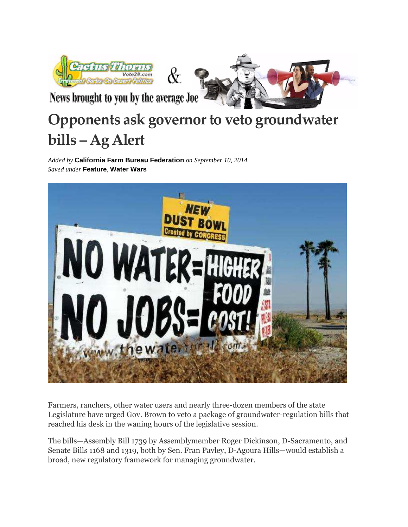



News brought to you by the average Joe

## **Opponents ask governor to veto groundwater bills – Ag Alert**

 $\&$ 

*Added by* **California Farm Bureau Federation** *on September 10, 2014. Saved under* **Feature***,* **Water Wars**



Farmers, ranchers, other water users and nearly three-dozen members of the state Legislature have urged Gov. Brown to veto a package of groundwater-regulation bills that reached his desk in the waning hours of the legislative session.

The bills—Assembly Bill 1739 by Assemblymember Roger Dickinson, D-Sacramento, and Senate Bills 1168 and 1319, both by Sen. Fran Pavley, D-Agoura Hills—would establish a broad, new regulatory framework for managing groundwater.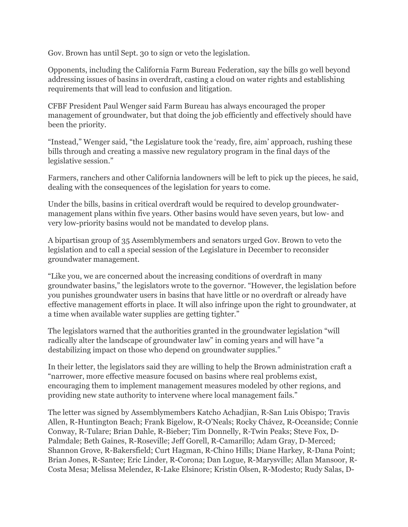Gov. Brown has until Sept. 30 to sign or veto the legislation.

Opponents, including the California Farm Bureau Federation, say the bills go well beyond addressing issues of basins in overdraft, casting a cloud on water rights and establishing requirements that will lead to confusion and litigation.

CFBF President Paul Wenger said Farm Bureau has always encouraged the proper management of groundwater, but that doing the job efficiently and effectively should have been the priority.

"Instead," Wenger said, "the Legislature took the 'ready, fire, aim' approach, rushing these bills through and creating a massive new regulatory program in the final days of the legislative session."

Farmers, ranchers and other California landowners will be left to pick up the pieces, he said, dealing with the consequences of the legislation for years to come.

Under the bills, basins in critical overdraft would be required to develop groundwatermanagement plans within five years. Other basins would have seven years, but low- and very low-priority basins would not be mandated to develop plans.

A bipartisan group of 35 Assemblymembers and senators urged Gov. Brown to veto the legislation and to call a special session of the Legislature in December to reconsider groundwater management.

"Like you, we are concerned about the increasing conditions of overdraft in many groundwater basins," the legislators wrote to the governor. "However, the legislation before you punishes groundwater users in basins that have little or no overdraft or already have effective management efforts in place. It will also infringe upon the right to groundwater, at a time when available water supplies are getting tighter."

The legislators warned that the authorities granted in the groundwater legislation "will radically alter the landscape of groundwater law" in coming years and will have "a destabilizing impact on those who depend on groundwater supplies."

In their letter, the legislators said they are willing to help the Brown administration craft a "narrower, more effective measure focused on basins where real problems exist, encouraging them to implement management measures modeled by other regions, and providing new state authority to intervene where local management fails."

The letter was signed by Assemblymembers Katcho Achadjian, R-San Luis Obispo; Travis Allen, R-Huntington Beach; Frank Bigelow, R-O'Neals; Rocky Chávez, R-Oceanside; Connie Conway, R-Tulare; Brian Dahle, R-Bieber; Tim Donnelly, R-Twin Peaks; Steve Fox, D-Palmdale; Beth Gaines, R-Roseville; Jeff Gorell, R-Camarillo; Adam Gray, D-Merced; Shannon Grove, R-Bakersfield; Curt Hagman, R-Chino Hills; Diane Harkey, R-Dana Point; Brian Jones, R-Santee; Eric Linder, R-Corona; Dan Logue, R-Marysville; Allan Mansoor, R-Costa Mesa; Melissa Melendez, R-Lake Elsinore; Kristin Olsen, R-Modesto; Rudy Salas, D-